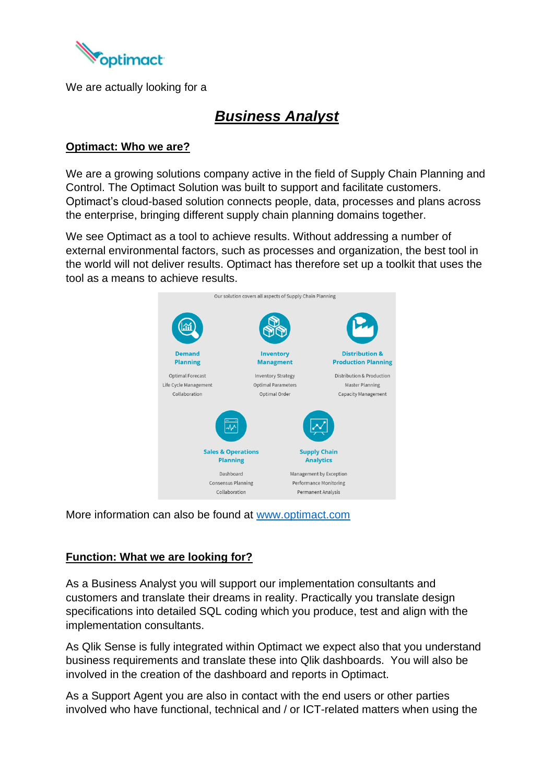

We are actually looking for a

## *Business Analyst*

#### **Optimact: Who we are?**

We are a growing solutions company active in the field of Supply Chain Planning and Control. The Optimact Solution was built to support and facilitate customers. Optimact's cloud-based solution connects people, data, processes and plans across the enterprise, bringing different supply chain planning domains together.

We see Optimact as a tool to achieve results. Without addressing a number of external environmental factors, such as processes and organization, the best tool in the world will not deliver results. Optimact has therefore set up a toolkit that uses the tool as a means to achieve results.



More information can also be found at [www.optimact.com](http://www.optimact.com/)

### **Function: What we are looking for?**

As a Business Analyst you will support our implementation consultants and customers and translate their dreams in reality. Practically you translate design specifications into detailed SQL coding which you produce, test and align with the implementation consultants.

As Qlik Sense is fully integrated within Optimact we expect also that you understand business requirements and translate these into Qlik dashboards. You will also be involved in the creation of the dashboard and reports in Optimact.

As a Support Agent you are also in contact with the end users or other parties involved who have functional, technical and / or ICT-related matters when using the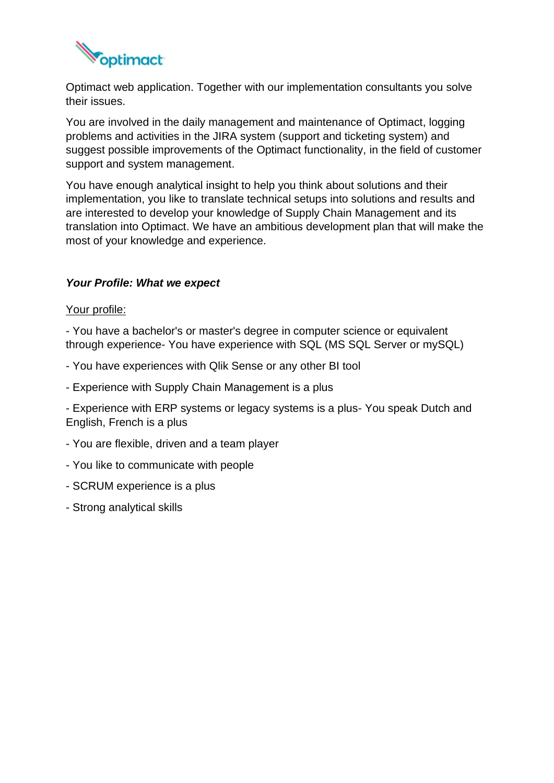

Optimact web application. Together with our implementation consultants you solve their issues.

You are involved in the daily management and maintenance of Optimact, logging problems and activities in the JIRA system (support and ticketing system) and suggest possible improvements of the Optimact functionality, in the field of customer support and system management.

You have enough analytical insight to help you think about solutions and their implementation, you like to translate technical setups into solutions and results and are interested to develop your knowledge of Supply Chain Management and its translation into Optimact. We have an ambitious development plan that will make the most of your knowledge and experience.

#### *Your Profile: What we expect*

#### Your profile:

- You have a bachelor's or master's degree in computer science or equivalent through experience- You have experience with SQL (MS SQL Server or mySQL)

- You have experiences with Qlik Sense or any other BI tool
- Experience with Supply Chain Management is a plus

- Experience with ERP systems or legacy systems is a plus- You speak Dutch and English, French is a plus

- You are flexible, driven and a team player
- You like to communicate with people
- SCRUM experience is a plus
- Strong analytical skills